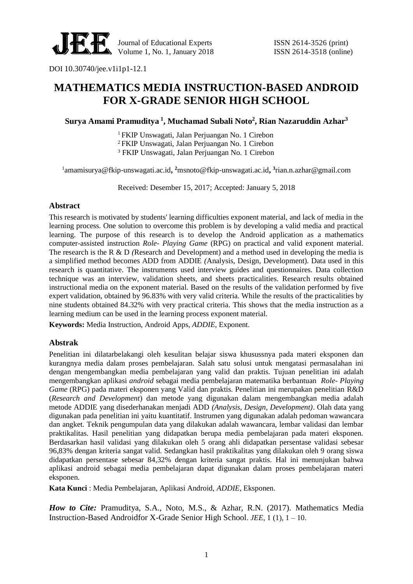

## **MATHEMATICS MEDIA INSTRUCTION-BASED ANDROID FOR X-GRADE SENIOR HIGH SCHOOL**

**Surya Amami Pramuditya <sup>1</sup> , Muchamad Subali Noto<sup>2</sup> , Rian Nazaruddin Azhar<sup>3</sup>**

<sup>1</sup> FKIP Unswagati, Jalan Perjuangan No. 1 Cirebon

<sup>2</sup>FKIP Unswagati, Jalan Perjuangan No. 1 Cirebon

<sup>3</sup> FKIP Unswagati, Jalan Perjuangan No. 1 Cirebon

<sup>1</sup>amamisurya@fkip-unswagati.ac.id**, <sup>2</sup>**[msnoto@fkip-unswagati.ac.id](mailto:msnoto@fkip-unswagati.ac.id)**, 3** rian.n.azhar@gmail.com

Received: Desember 15, 2017; Accepted: January 5, 2018

## **Abstract**

This research is motivated by students' learning difficulties exponent material, and lack of media in the learning process. One solution to overcome this problem is by developing a valid media and practical learning. The purpose of this research is to develop the Android application as a mathematics computer-assisted instruction *Role- Playing Game* (RPG) on practical and valid exponent material. The research is the R & D *(*Research and Development) and a method used in developing the media is a simplified method becomes ADD from ADDIE *(*Analysis, Design*,* Development). Data used in this research is quantitative. The instruments used interview guides and questionnaires. Data collection technique was an interview, validation sheets, and sheets practicalities. Research results obtained instructional media on the exponent material. Based on the results of the validation performed by five expert validation, obtained by 96.83% with very valid criteria. While the results of the practicalities by nine students obtained 84.32% with very practical criteria. This shows that the media instruction as a learning medium can be used in the learning process exponent material.

**Keywords:** Media Instruction, Android Apps, *ADDIE,* Exponent.

## **Abstrak**

Penelitian ini dilatarbelakangi oleh kesulitan belajar siswa khusussnya pada materi eksponen dan kurangnya media dalam proses pembelajaran. Salah satu solusi untuk mengatasi permasalahan ini dengan mengembangkan media pembelajaran yang valid dan praktis. Tujuan penelitian ini adalah mengembangkan aplikasi *android* sebagai media pembelajaran matematika berbantuan *Role- Playing Game* (RPG) pada materi eksponen yang Valid dan praktis. Penelitian ini merupakan penelitian R&D (*Research and Development*) dan metode yang digunakan dalam mengembangkan media adalah metode ADDIE yang disederhanakan menjadi ADD *(Analysis, Design, Development)*. Olah data yang digunakan pada penelitian ini yaitu kuantitatif. Instrumen yang digunakan adalah pedoman wawancara dan angket. Teknik pengumpulan data yang dilakukan adalah wawancara, lembar validasi dan lembar praktikalitas. Hasil penelitian yang didapatkan berupa media pembelajaran pada materi eksponen. Berdasarkan hasil validasi yang dilakukan oleh 5 orang ahli didapatkan persentase validasi sebesar 96,83% dengan kriteria sangat valid. Sedangkan hasil praktikalitas yang dilakukan oleh 9 orang siswa didapatkan persentase sebesar 84,32% dengan kriteria sangat praktis. Hal ini menunjukan bahwa aplikasi android sebagai media pembelajaran dapat digunakan dalam proses pembelajaran materi eksponen.

**Kata Kunci** : Media Pembelajaran, Aplikasi Android, *ADDIE*, Eksponen.

*How to Cite:* Pramuditya, S.A., Noto, M.S., & Azhar, R.N. (2017). Mathematics Media Instruction-Based Androidfor X-Grade Senior High School. *JEE*, 1 (1), 1 – 10.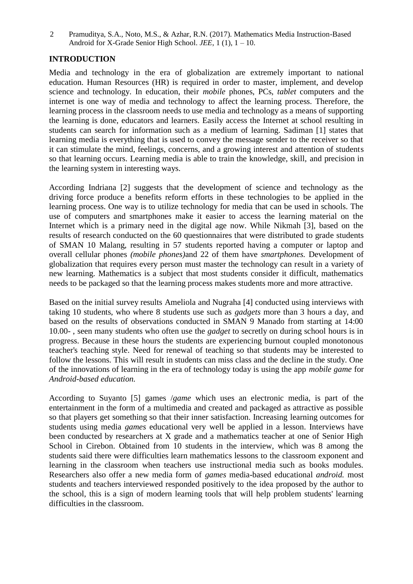Pramuditya, S.A., Noto, M.S., & Azhar, R.N. (2017). Mathematics Media Instruction-Based Android for X-Grade Senior High School. *JEE*, 1 (1), 1 – 10. 2

## **INTRODUCTION**

Media and technology in the era of globalization are extremely important to national education. Human Resources (HR) is required in order to master, implement, and develop science and technology. In education, their *mobile* phones, PCs, *tablet* computers and the internet is one way of media and technology to affect the learning process. Therefore, the learning process in the classroom needs to use media and technology as a means of supporting the learning is done, educators and learners. Easily access the Internet at school resulting in students can search for information such as a medium of learning. Sadiman [1] states that learning media is everything that is used to convey the message sender to the receiver so that it can stimulate the mind, feelings, concerns, and a growing interest and attention of students so that learning occurs. Learning media is able to train the knowledge, skill, and precision in the learning system in interesting ways.

According Indriana [2] suggests that the development of science and technology as the driving force produce a benefits reform efforts in these technologies to be applied in the learning process. One way is to utilize technology for media that can be used in schools. The use of computers and smartphones make it easier to access the learning material on the Internet which is a primary need in the digital age now. While Nikmah [3], based on the results of research conducted on the 60 questionnaires that were distributed to grade students of SMAN 10 Malang, resulting in 57 students reported having a computer or laptop and overall cellular phones *(mobile phones)*and 22 of them have *smartphones.* Development of globalization that requires every person must master the technology can result in a variety of new learning. Mathematics is a subject that most students consider it difficult, mathematics needs to be packaged so that the learning process makes students more and more attractive.

Based on the initial survey results Ameliola and Nugraha [4] conducted using interviews with taking 10 students, who where 8 students use such as *gadgets* more than 3 hours a day, and based on the results of observations conducted in SMAN 9 Manado from starting at 14:00 10.00- , seen many students who often use the *gadget* to secretly on during school hours is in progress. Because in these hours the students are experiencing burnout coupled monotonous teacher's teaching style. Need for renewal of teaching so that students may be interested to follow the lessons. This will result in students can miss class and the decline in the study. One of the innovations of learning in the era of technology today is using the app *mobile game* for *Android-based education.*

According to Suyanto [5] games /*game* which uses an electronic media, is part of the entertainment in the form of a multimedia and created and packaged as attractive as possible so that players get something so that their inner satisfaction. Increasing learning outcomes for students using media *games* educational very well be applied in a lesson. Interviews have been conducted by researchers at X grade and a mathematics teacher at one of Senior High School in Cirebon. Obtained from 10 students in the interview, which was 8 among the students said there were difficulties learn mathematics lessons to the classroom exponent and learning in the classroom when teachers use instructional media such as books modules. Researchers also offer a new media form of *games* media-based educational *android.* most students and teachers interviewed responded positively to the idea proposed by the author to the school, this is a sign of modern learning tools that will help problem students' learning difficulties in the classroom.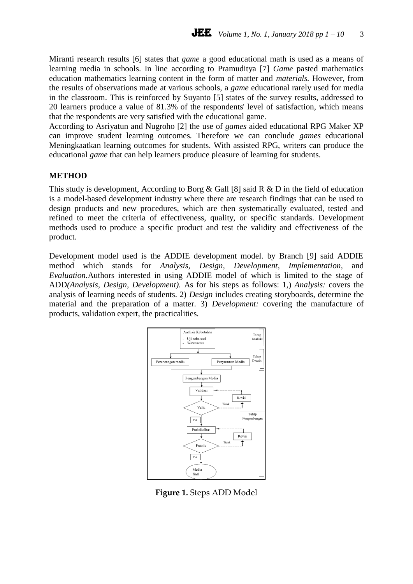Miranti research results [6] states that *game* a good educational math is used as a means of learning media in schools. In line according to Pramuditya [7] *Game* pasted mathematics education mathematics learning content in the form of matter and *materials.* However, from the results of observations made at various schools, a *game* educational rarely used for media in the classroom. This is reinforced by Suyanto [5] states of the survey results, addressed to 20 learners produce a value of 81.3% of the respondents' level of satisfaction, which means that the respondents are very satisfied with the educational game*.*

According to Asriyatun and Nugroho [2] the use of *games* aided educational RPG Maker XP can improve student learning outcomes. Therefore we can conclude *games* educational Meningkaatkan learning outcomes for students. With assisted RPG, writers can produce the educational *game* that can help learners produce pleasure of learning for students.

#### **METHOD**

This study is development, According to Borg & Gall [8] said R & D in the field of education is a model-based development industry where there are research findings that can be used to design products and new procedures, which are then systematically evaluated, tested and refined to meet the criteria of effectiveness, quality, or specific standards. Development methods used to produce a specific product and test the validity and effectiveness of the product.

Development model used is the ADDIE development model. by Branch [9] said ADDIE method which stands for *Analysis, Design, Development, Implementation,* and *Evaluation.*Authors interested in using ADDIE model of which is limited to the stage of ADD*(Analysis, Design, Development).* As for his steps as follows: 1,) *Analysis:* covers the analysis of learning needs of students. 2) *Design* includes creating storyboards, determine the material and the preparation of a matter. 3) *Development:* covering the manufacture of products, validation expert, the practicalities.



**Figure 1.** Steps ADD Model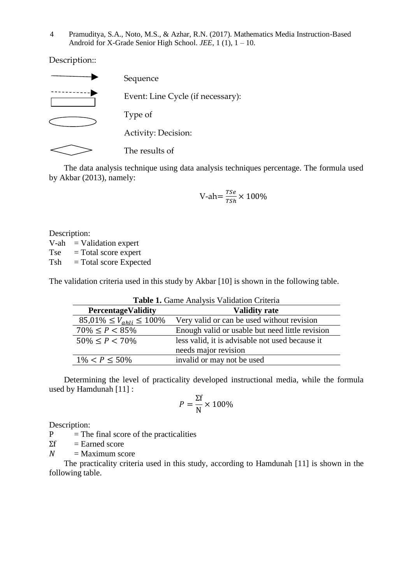Pramuditya, S.A., Noto, M.S., & Azhar, R.N. (2017). Mathematics Media Instruction-Based Android for X-Grade Senior High School. *JEE*, 1 (1), 1 – 10. 4

Description::



The data analysis technique using data analysis techniques percentage. The formula used by Akbar (2013), namely:

$$
V\text{-}ah = \frac{Tse}{Tsh} \times 100\%
$$

Description:  $V-ah$  = Validation expert  $Tse = Total score expert$  $Tsh = Total score Expected$ 

The validation criteria used in this study by Akbar [10] is shown in the following table.

| Table 1. Game Analysis Validation Criteria |                                                 |  |  |  |
|--------------------------------------------|-------------------------------------------------|--|--|--|
| <b>PercentageValidity</b>                  | <b>Validity rate</b>                            |  |  |  |
| $85,01\% \leq V_{ahli} \leq 100\%$         | Very valid or can be used without revision      |  |  |  |
| $70\% \leq P < 85\%$                       | Enough valid or usable but need little revision |  |  |  |
| $50\% \leq P < 70\%$                       | less valid, it is advisable not used because it |  |  |  |
|                                            | needs major revision                            |  |  |  |
| $1\% < P < 50\%$                           | invalid or may not be used                      |  |  |  |

Determining the level of practicality developed instructional media, while the formula used by Hamdunah [11] :

$$
P = \frac{\Sigma f}{N} \times 100\%
$$

Description:

 $P =$ The final score of the practicalities

 $\Sigma f =$  Earned score

 $N =$ Maximum score

The practicality criteria used in this study, according to Hamdunah [11] is shown in the following table.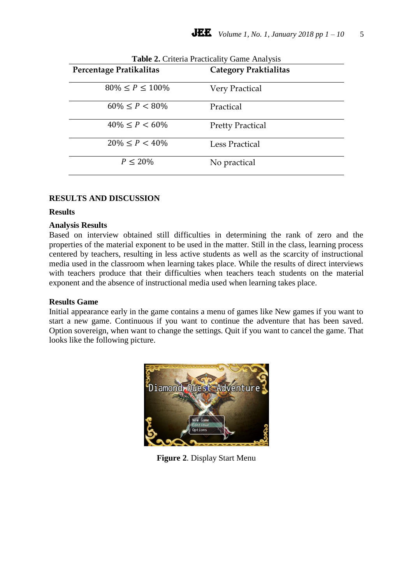| Table 2. Criteria Practicality Game Analysis<br>Percentage Pratikalitas | <b>Category Praktialitas</b> |
|-------------------------------------------------------------------------|------------------------------|
|                                                                         |                              |
| $80\% \le P \le 100\%$                                                  | <b>Very Practical</b>        |
| $60\% < P < 80\%$                                                       | Practical                    |
| $40\% \leq P < 60\%$                                                    | <b>Pretty Practical</b>      |
| $20\% \leq P < 40\%$                                                    | <b>Less Practical</b>        |
| $P < 20\%$                                                              | No practical                 |

# **RESULTS AND DISCUSSION**

## **Results**

#### **Analysis Results**

Based on interview obtained still difficulties in determining the rank of zero and the properties of the material exponent to be used in the matter. Still in the class, learning process centered by teachers, resulting in less active students as well as the scarcity of instructional media used in the classroom when learning takes place. While the results of direct interviews with teachers produce that their difficulties when teachers teach students on the material exponent and the absence of instructional media used when learning takes place.

## **Results Game**

Initial appearance early in the game contains a menu of games like New games if you want to start a new game. Continuous if you want to continue the adventure that has been saved. Option sovereign, when want to change the settings. Quit if you want to cancel the game. That looks like the following picture.



**Figure 2**. Display Start Menu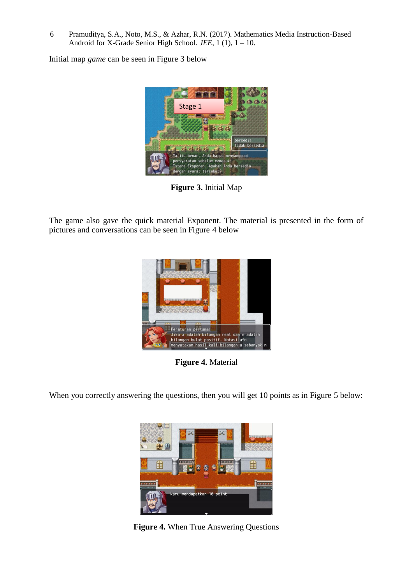Pramuditya, S.A., Noto, M.S., & Azhar, R.N. (2017). Mathematics Media Instruction-Based Android for X-Grade Senior High School. *JEE*, 1 (1), 1 – 10. 6

Initial map *game* can be seen in Figure 3 below



**Figure 3.** Initial Map

The game also gave the quick material Exponent. The material is presented in the form of pictures and conversations can be seen in Figure 4 below



**Figure 4.** Material

When you correctly answering the questions, then you will get 10 points as in Figure 5 below:



**Figure 4.** When True Answering Questions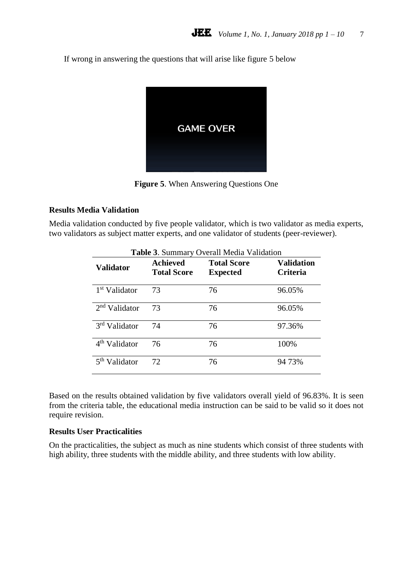If wrong in answering the questions that will arise like figure 5 below



**Figure 5**. When Answering Questions One

## **Results Media Validation**

Media validation conducted by five people validator, which is two validator as media experts, two validators as subject matter experts, and one validator of students (peer-reviewer).

| Table 3. Summary Overall Media Validation |                                       |                                       |                               |  |  |  |
|-------------------------------------------|---------------------------------------|---------------------------------------|-------------------------------|--|--|--|
| Validator                                 | <b>Achieved</b><br><b>Total Score</b> | <b>Total Score</b><br><b>Expected</b> | Validation<br><b>Criteria</b> |  |  |  |
| 1 <sup>st</sup> Validator                 | 73                                    | 76                                    | 96.05%                        |  |  |  |
| $2nd$ Validator                           | 73                                    | 76                                    | 96.05%                        |  |  |  |
| 3 <sup>rd</sup> Validator                 | 74                                    | 76                                    | 97.36%                        |  |  |  |
| 4 <sup>th</sup> Validator                 | 76                                    | 76                                    | 100%                          |  |  |  |
| Validator                                 | 72                                    | 76                                    | 94 73%                        |  |  |  |

## Based on the results obtained validation by five validators overall yield of 96.83%. It is seen from the criteria table, the educational media instruction can be said to be valid so it does not require revision.

## **Results User Practicalities**

On the practicalities, the subject as much as nine students which consist of three students with high ability, three students with the middle ability, and three students with low ability.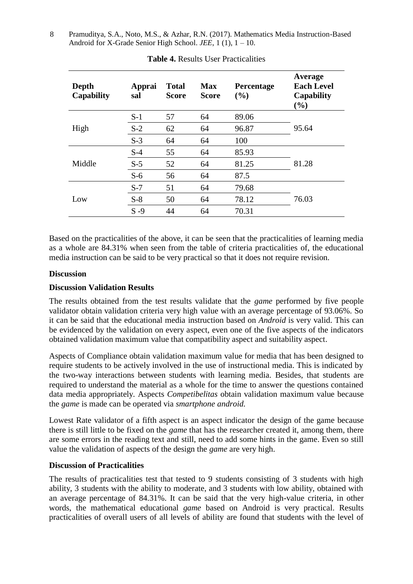| Pramuditya, S.A., Noto, M.S., & Azhar, R.N. (2017). Mathematics Media Instruction-Based |
|-----------------------------------------------------------------------------------------|
| Android for X-Grade Senior High School. <i>JEE</i> , $1(1)$ , $1 - 10$ .                |

| Depth<br>Capability | Apprai<br>sal | <b>Total</b><br>Score | <b>Max</b><br><b>Score</b> | Percentage<br>(%) | Average<br><b>Each Level</b><br><b>Capability</b><br>(%) |
|---------------------|---------------|-----------------------|----------------------------|-------------------|----------------------------------------------------------|
| High                | $S-1$         | 57                    | 64                         | 89.06             |                                                          |
|                     | $S-2$         | 62                    | 64                         | 96.87             | 95.64                                                    |
|                     | $S-3$         | 64                    | 64                         | 100               |                                                          |
| Middle              | $S-4$         | 55                    | 64                         | 85.93             |                                                          |
|                     | $S-5$         | 52                    | 64                         | 81.25             | 81.28                                                    |
|                     | $S-6$         | 56                    | 64                         | 87.5              |                                                          |
| Low                 | $S-7$         | 51                    | 64                         | 79.68             |                                                          |
|                     | $S-8$         | 50                    | 64                         | 78.12             | 76.03                                                    |
|                     | $S - 9$       | 44                    | 64                         | 70.31             |                                                          |

**Table 4.** Results User Practicalities

Based on the practicalities of the above, it can be seen that the practicalities of learning media as a whole are 84.31% when seen from the table of criteria practicalities of, the educational media instruction can be said to be very practical so that it does not require revision.

## **Discussion**

## **Discussion Validation Results**

The results obtained from the test results validate that the *game* performed by five people validator obtain validation criteria very high value with an average percentage of 93.06%. So it can be said that the educational media instruction based on *Android* is very valid. This can be evidenced by the validation on every aspect, even one of the five aspects of the indicators obtained validation maximum value that compatibility aspect and suitability aspect.

Aspects of Compliance obtain validation maximum value for media that has been designed to require students to be actively involved in the use of instructional media. This is indicated by the two-way interactions between students with learning media. Besides, that students are required to understand the material as a whole for the time to answer the questions contained data media appropriately. Aspects *Competibelitas* obtain validation maximum value because the *game* is made can be operated via *smartphone android.*

Lowest Rate validator of a fifth aspect is an aspect indicator the design of the game because there is still little to be fixed on the *game* that has the researcher created it, among them, there are some errors in the reading text and still, need to add some hints in the game. Even so still value the validation of aspects of the design the *game* are very high.

## **Discussion of Practicalities**

The results of practicalities test that tested to 9 students consisting of 3 students with high ability, 3 students with the ability to moderate, and 3 students with low ability, obtained with an average percentage of 84.31%. It can be said that the very high-value criteria, in other words, the mathematical educational *game* based on Android is very practical. Results practicalities of overall users of all levels of ability are found that students with the level of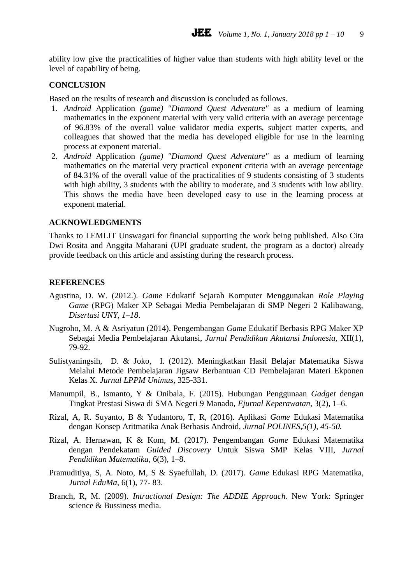ability low give the practicalities of higher value than students with high ability level or the level of capability of being.

## **CONCLUSION**

Based on the results of research and discussion is concluded as follows.

- 1. *Android* Application *(game) "Diamond Quest Adventure"* as a medium of learning mathematics in the exponent material with very valid criteria with an average percentage of 96.83% of the overall value validator media experts, subject matter experts, and colleagues that showed that the media has developed eligible for use in the learning process at exponent material.
- 2. *Android* Application *(game) "Diamond Quest Adventure"* as a medium of learning mathematics on the material very practical exponent criteria with an average percentage of 84.31% of the overall value of the practicalities of 9 students consisting of 3 students with high ability, 3 students with the ability to moderate, and 3 students with low ability. This shows the media have been developed easy to use in the learning process at exponent material.

### **ACKNOWLEDGMENTS**

Thanks to LEMLIT Unswagati for financial supporting the work being published. Also Cita Dwi Rosita and Anggita Maharani (UPI graduate student, the program as a doctor) already provide feedback on this article and assisting during the research process.

### **REFERENCES**

- Agustina, D. W. (2012.). *Game* Edukatif Sejarah Komputer Menggunakan *Role Playing Game* (RPG) Maker XP Sebagai Media Pembelajaran di SMP Negeri 2 Kalibawang, *Disertasi UNY, 1*–*18*.
- Nugroho, M. A & Asriyatun (2014). Pengembangan *Game* Edukatif Berbasis RPG Maker XP Sebagai Media Pembelajaran Akutansi, *Jurnal Pendidikan Akutansi Indonesia,* XII(1), 79-92.
- Sulistyaningsih, D. & Joko, I. (2012). Meningkatkan Hasil Belajar Matematika Siswa Melalui Metode Pembelajaran Jigsaw Berbantuan CD Pembelajaran Materi Ekponen Kelas X. *Jurnal LPPM Unimus,* 325-331.
- Manumpil, B., Ismanto, Y & Onibala, F. (2015). Hubungan Penggunaan *Gadget* dengan Tingkat Prestasi Siswa di SMA Negeri 9 Manado, *Ejurnal Keperawatan,* 3(2), 1–6.
- Rizal, A, R. Suyanto, B & Yudantoro, T, R, (2016). Aplikasi *Game* Edukasi Matematika dengan Konsep Aritmatika Anak Berbasis Android, *Jurnal POLINES,5(1), 45-50.*
- Rizal, A. Hernawan, K & Kom, M. (2017). Pengembangan *Game* Edukasi Matematika dengan Pendekatam *Guided Discovery* Untuk Siswa SMP Kelas VIII, *Jurnal Pendidikan Matematika*, 6(3), 1–8.
- Pramuditiya, S, A. Noto, M, S & Syaefullah, D. (2017). *Game* Edukasi RPG Matematika, *Jurnal EduMa*, 6(1), 77- 83.
- Branch, R, M. (2009). *Intructional Design: The ADDIE Approach.* New York: Springer science & Bussiness media.